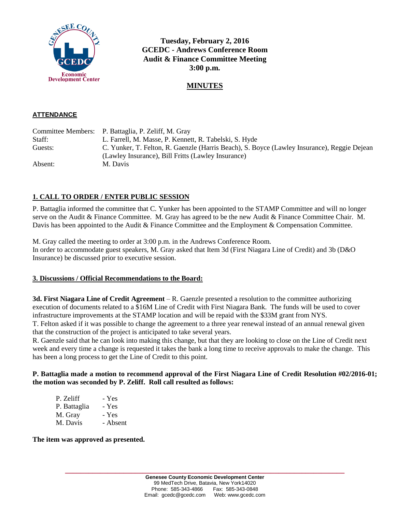

**Tuesday, February 2, 2016 GCEDC - Andrews Conference Room Audit & Finance Committee Meeting 3:00 p.m.**

# **MINUTES**

#### **ATTENDANCE**

|         | Committee Members: P. Battaglia, P. Zeliff, M. Gray                                         |
|---------|---------------------------------------------------------------------------------------------|
| Staff:  | L. Farrell, M. Masse, P. Kennett, R. Tabelski, S. Hyde                                      |
| Guests: | C. Yunker, T. Felton, R. Gaenzle (Harris Beach), S. Boyce (Lawley Insurance), Reggie Dejean |
|         | (Lawley Insurance), Bill Fritts (Lawley Insurance)                                          |
| Absent: | M. Davis                                                                                    |

## **1. CALL TO ORDER / ENTER PUBLIC SESSION**

P. Battaglia informed the committee that C. Yunker has been appointed to the STAMP Committee and will no longer serve on the Audit & Finance Committee. M. Gray has agreed to be the new Audit & Finance Committee Chair. M. Davis has been appointed to the Audit & Finance Committee and the Employment & Compensation Committee.

M. Gray called the meeting to order at 3:00 p.m. in the Andrews Conference Room. In order to accommodate guest speakers, M. Gray asked that Item 3d (First Niagara Line of Credit) and 3b (D&O Insurance) be discussed prior to executive session.

#### **3. Discussions / Official Recommendations to the Board:**

**3d. First Niagara Line of Credit Agreement** – R. Gaenzle presented a resolution to the committee authorizing execution of documents related to a \$16M Line of Credit with First Niagara Bank. The funds will be used to cover infrastructure improvements at the STAMP location and will be repaid with the \$33M grant from NYS.

T. Felton asked if it was possible to change the agreement to a three year renewal instead of an annual renewal given that the construction of the project is anticipated to take several years.

R. Gaenzle said that he can look into making this change, but that they are looking to close on the Line of Credit next week and every time a change is requested it takes the bank a long time to receive approvals to make the change. This has been a long process to get the Line of Credit to this point.

#### **P. Battaglia made a motion to recommend approval of the First Niagara Line of Credit Resolution #02/2016-01; the motion was seconded by P. Zeliff. Roll call resulted as follows:**

| - Yes    |
|----------|
| - Yes    |
| - Yes    |
| - Absent |
|          |

**The item was approved as presented.**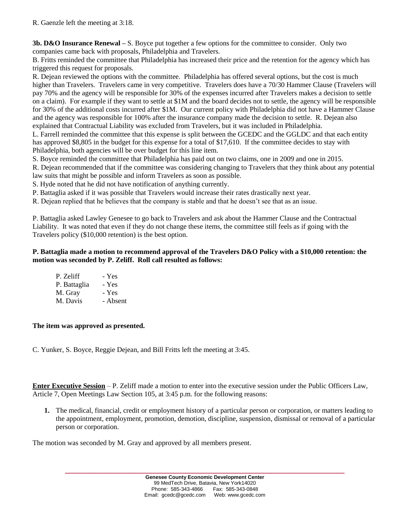R. Gaenzle left the meeting at 3:18.

**3b. D&O Insurance Renewal –** S. Boyce put together a few options for the committee to consider. Only two companies came back with proposals, Philadelphia and Travelers.

B. Fritts reminded the committee that Philadelphia has increased their price and the retention for the agency which has triggered this request for proposals.

R. Dejean reviewed the options with the committee. Philadelphia has offered several options, but the cost is much higher than Travelers. Travelers came in very competitive. Travelers does have a 70/30 Hammer Clause (Travelers will pay 70% and the agency will be responsible for 30% of the expenses incurred after Travelers makes a decision to settle on a claim). For example if they want to settle at \$1M and the board decides not to settle, the agency will be responsible for 30% of the additional costs incurred after \$1M. Our current policy with Philadelphia did not have a Hammer Clause and the agency was responsible for 100% after the insurance company made the decision to settle. R. Dejean also explained that Contractual Liability was excluded from Travelers, but it was included in Philadelphia.

L. Farrell reminded the committee that this expense is split between the GCEDC and the GGLDC and that each entity has approved \$8,805 in the budget for this expense for a total of \$17,610. If the committee decides to stay with Philadelphia, both agencies will be over budget for this line item.

S. Boyce reminded the committee that Philadelphia has paid out on two claims, one in 2009 and one in 2015.

R. Dejean recommended that if the committee was considering changing to Travelers that they think about any potential law suits that might be possible and inform Travelers as soon as possible.

S. Hyde noted that he did not have notification of anything currently.

P. Battaglia asked if it was possible that Travelers would increase their rates drastically next year.

R. Dejean replied that he believes that the company is stable and that he doesn't see that as an issue.

P. Battaglia asked Lawley Genesee to go back to Travelers and ask about the Hammer Clause and the Contractual Liability. It was noted that even if they do not change these items, the committee still feels as if going with the Travelers policy (\$10,000 retention) is the best option.

### **P. Battaglia made a motion to recommend approval of the Travelers D&O Policy with a \$10,000 retention: the motion was seconded by P. Zeliff. Roll call resulted as follows:**

| - Yes    |
|----------|
| - Yes    |
| - Yes    |
| - Absent |
|          |

## **The item was approved as presented.**

C. Yunker, S. Boyce, Reggie Dejean, and Bill Fritts left the meeting at 3:45.

**Enter Executive Session** – P. Zeliff made a motion to enter into the executive session under the Public Officers Law, Article 7, Open Meetings Law Section 105, at 3:45 p.m. for the following reasons:

**1.** The medical, financial, credit or employment history of a particular person or corporation, or matters leading to the appointment, employment, promotion, demotion, discipline, suspension, dismissal or removal of a particular person or corporation.

The motion was seconded by M. Gray and approved by all members present.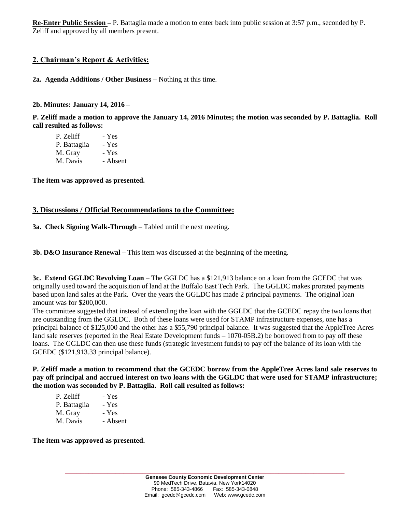**Re-Enter Public Session –** P. Battaglia made a motion to enter back into public session at 3:57 p.m., seconded by P. Zeliff and approved by all members present.

## **2. Chairman's Report & Activities:**

#### **2a. Agenda Additions / Other Business** – Nothing at this time.

#### **2b. Minutes: January 14, 2016** –

**P. Zeliff made a motion to approve the January 14, 2016 Minutes; the motion was seconded by P. Battaglia. Roll call resulted as follows:**

| P. Zeliff    | - Yes    |
|--------------|----------|
| P. Battaglia | - Yes    |
| M. Gray      | - Yes    |
| M. Davis     | - Absent |
|              |          |

**The item was approved as presented.**

### **3. Discussions / Official Recommendations to the Committee:**

**3a. Check Signing Walk-Through** – Tabled until the next meeting.

**3b. D&O Insurance Renewal –** This item was discussed at the beginning of the meeting.

**3c. Extend GGLDC Revolving Loan** – The GGLDC has a \$121,913 balance on a loan from the GCEDC that was originally used toward the acquisition of land at the Buffalo East Tech Park. The GGLDC makes prorated payments based upon land sales at the Park. Over the years the GGLDC has made 2 principal payments. The original loan amount was for \$200,000.

The committee suggested that instead of extending the loan with the GGLDC that the GCEDC repay the two loans that are outstanding from the GGLDC. Both of these loans were used for STAMP infrastructure expenses, one has a principal balance of \$125,000 and the other has a \$55,790 principal balance. It was suggested that the AppleTree Acres land sale reserves (reported in the Real Estate Development funds – 1070-05B.2) be borrowed from to pay off these loans. The GGLDC can then use these funds (strategic investment funds) to pay off the balance of its loan with the GCEDC (\$121,913.33 principal balance).

**P. Zeliff made a motion to recommend that the GCEDC borrow from the AppleTree Acres land sale reserves to pay off principal and accrued interest on two loans with the GGLDC that were used for STAMP infrastructure; the motion was seconded by P. Battaglia. Roll call resulted as follows:**

| P. Zeliff    | - Yes    |
|--------------|----------|
| P. Battaglia | - Yes    |
| M. Gray      | - Yes    |
| M. Davis     | - Absent |
|              |          |

**The item was approved as presented.**